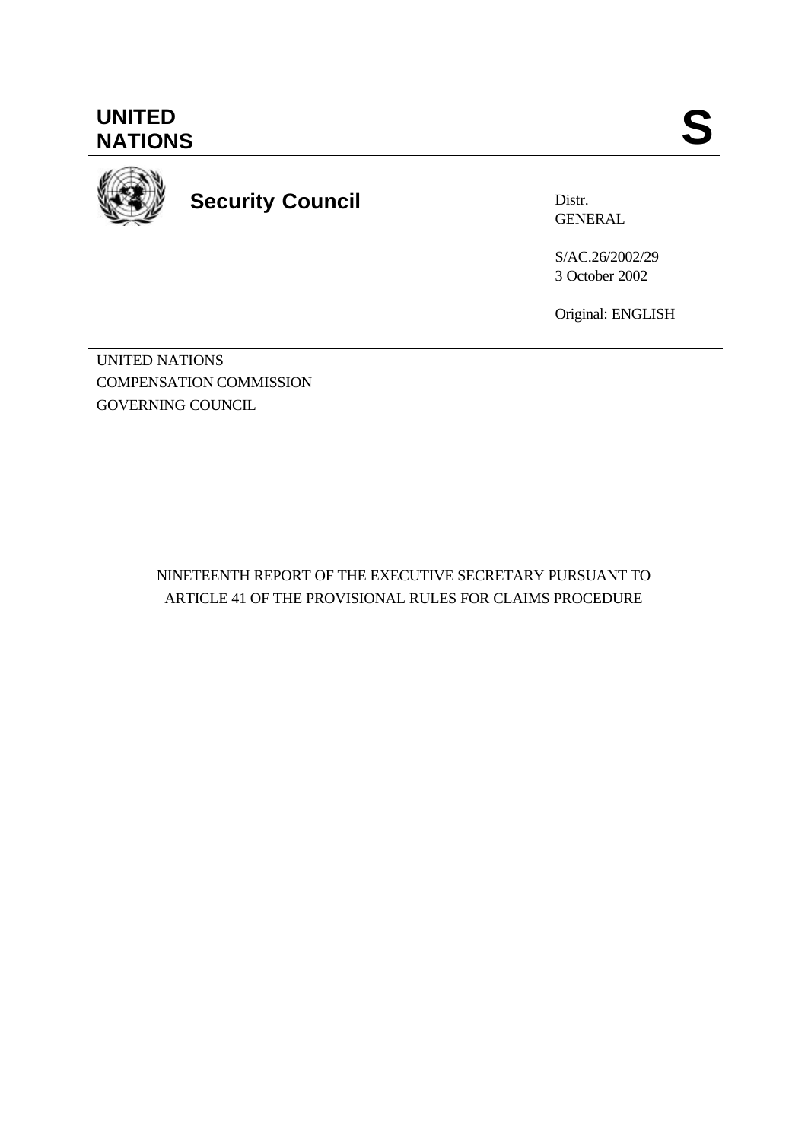**UNITED** UNITED SANTIONS



**Security Council**

Distr. GENERAL

S/AC.26/2002/29 3 October 2002

Original: ENGLISH

UNITED NATIONS COMPENSATION COMMISSION GOVERNING COUNCIL

> NINETEENTH REPORT OF THE EXECUTIVE SECRETARY PURSUANT TO ARTICLE 41 OF THE PROVISIONAL RULES FOR CLAIMS PROCEDURE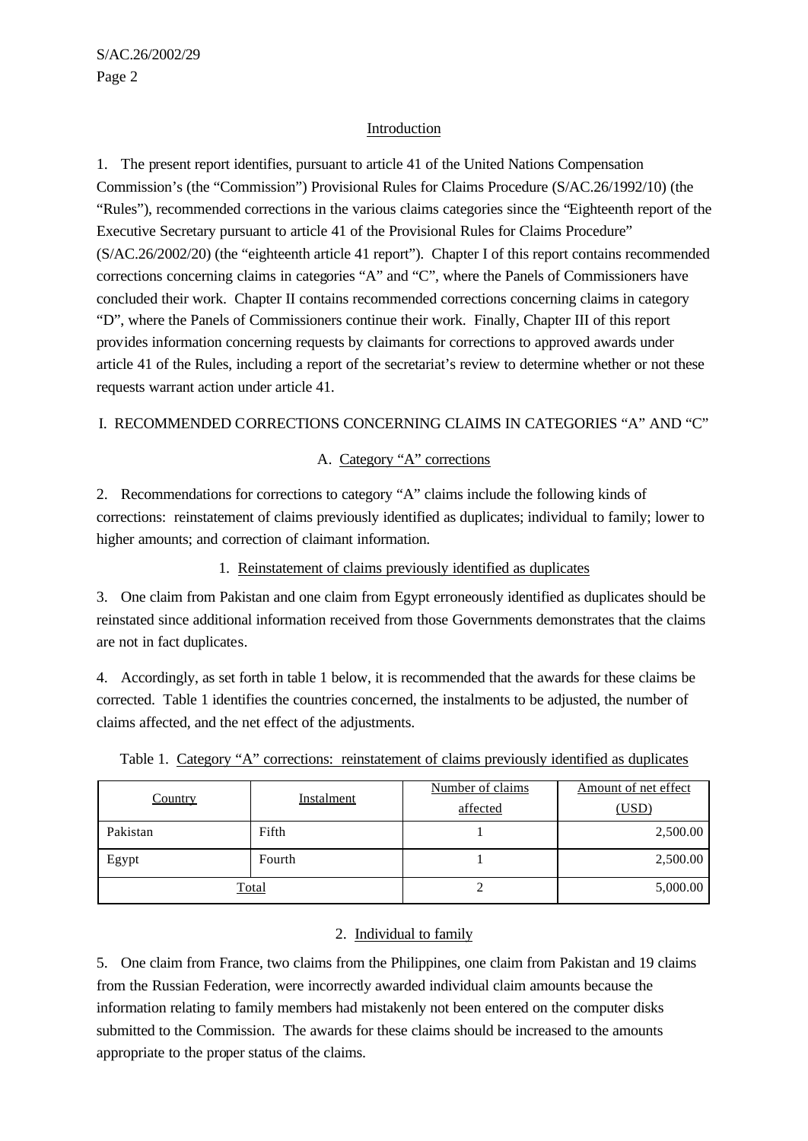## Introduction

1. The present report identifies, pursuant to article 41 of the United Nations Compensation Commission's (the "Commission") Provisional Rules for Claims Procedure (S/AC.26/1992/10) (the "Rules"), recommended corrections in the various claims categories since the "Eighteenth report of the Executive Secretary pursuant to article 41 of the Provisional Rules for Claims Procedure" (S/AC.26/2002/20) (the "eighteenth article 41 report"). Chapter I of this report contains recommended corrections concerning claims in categories "A" and "C", where the Panels of Commissioners have concluded their work. Chapter II contains recommended corrections concerning claims in category "D", where the Panels of Commissioners continue their work. Finally, Chapter III of this report provides information concerning requests by claimants for corrections to approved awards under article 41 of the Rules, including a report of the secretariat's review to determine whether or not these requests warrant action under article 41.

### I. RECOMMENDED CORRECTIONS CONCERNING CLAIMS IN CATEGORIES "A" AND "C"

## A. Category "A" corrections

2. Recommendations for corrections to category "A" claims include the following kinds of corrections: reinstatement of claims previously identified as duplicates; individual to family; lower to higher amounts; and correction of claimant information.

1. Reinstatement of claims previously identified as duplicates

3. One claim from Pakistan and one claim from Egypt erroneously identified as duplicates should be reinstated since additional information received from those Governments demonstrates that the claims are not in fact duplicates.

4. Accordingly, as set forth in table 1 below, it is recommended that the awards for these claims be corrected. Table 1 identifies the countries concerned, the instalments to be adjusted, the number of claims affected, and the net effect of the adjustments.

| <b>Country</b> | <b>Instalment</b> | Number of claims<br>affected | Amount of net effect<br>(USD) |
|----------------|-------------------|------------------------------|-------------------------------|
| Pakistan       | Fifth             |                              | 2,500.00                      |
| Egypt          | Fourth            |                              | 2,500.00                      |
|                | <b>Total</b>      |                              | 5,000.00                      |

Table 1. Category "A" corrections: reinstatement of claims previously identified as duplicates

#### 2. Individual to family

5. One claim from France, two claims from the Philippines, one claim from Pakistan and 19 claims from the Russian Federation, were incorrectly awarded individual claim amounts because the information relating to family members had mistakenly not been entered on the computer disks submitted to the Commission. The awards for these claims should be increased to the amounts appropriate to the proper status of the claims.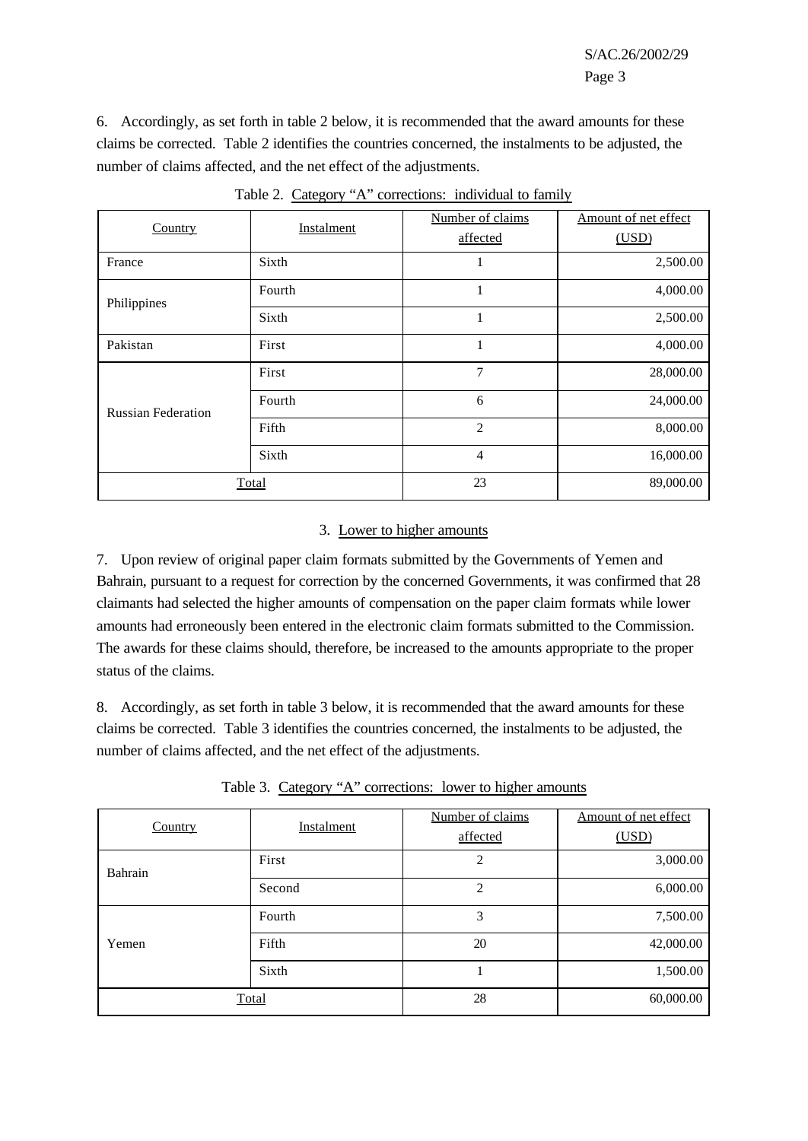6. Accordingly, as set forth in table 2 below, it is recommended that the award amounts for these claims be corrected. Table 2 identifies the countries concerned, the instalments to be adjusted, the number of claims affected, and the net effect of the adjustments.

| Country                   | Instalment | Number of claims<br>affected | Amount of net effect<br>(USD) |
|---------------------------|------------|------------------------------|-------------------------------|
| France                    | Sixth      | 1                            | 2,500.00                      |
| Philippines               | Fourth     | 1                            | 4,000.00                      |
|                           | Sixth      | 1                            | 2,500.00                      |
| Pakistan                  | First      |                              | 4,000.00                      |
|                           | First      | $\overline{7}$               | 28,000.00                     |
| <b>Russian Federation</b> | Fourth     | 6                            | 24,000.00                     |
|                           | Fifth      | $\overline{2}$               | 8,000.00                      |
|                           | Sixth      | $\overline{4}$               | 16,000.00                     |
|                           | Total      | 23                           | 89,000.00                     |

Table 2. Category "A" corrections: individual to family

# 3. Lower to higher amounts

7. Upon review of original paper claim formats submitted by the Governments of Yemen and Bahrain, pursuant to a request for correction by the concerned Governments, it was confirmed that 28 claimants had selected the higher amounts of compensation on the paper claim formats while lower amounts had erroneously been entered in the electronic claim formats submitted to the Commission. The awards for these claims should, therefore, be increased to the amounts appropriate to the proper status of the claims.

8. Accordingly, as set forth in table 3 below, it is recommended that the award amounts for these claims be corrected. Table 3 identifies the countries concerned, the instalments to be adjusted, the number of claims affected, and the net effect of the adjustments.

Table 3. Category "A" corrections: lower to higher amounts

| <b>Country</b> | <b>Instalment</b> | Number of claims<br>affected | Amount of net effect<br>(USD) |
|----------------|-------------------|------------------------------|-------------------------------|
| Bahrain        | First             | $\overline{c}$               | 3,000.00                      |
|                | Second            | 2                            | 6,000.00                      |
|                | Fourth            | 3                            | 7,500.00                      |
| Yemen          | Fifth             | 20                           | 42,000.00                     |
|                | Sixth             |                              | 1,500.00                      |
|                | Total             | 28                           | 60,000.00                     |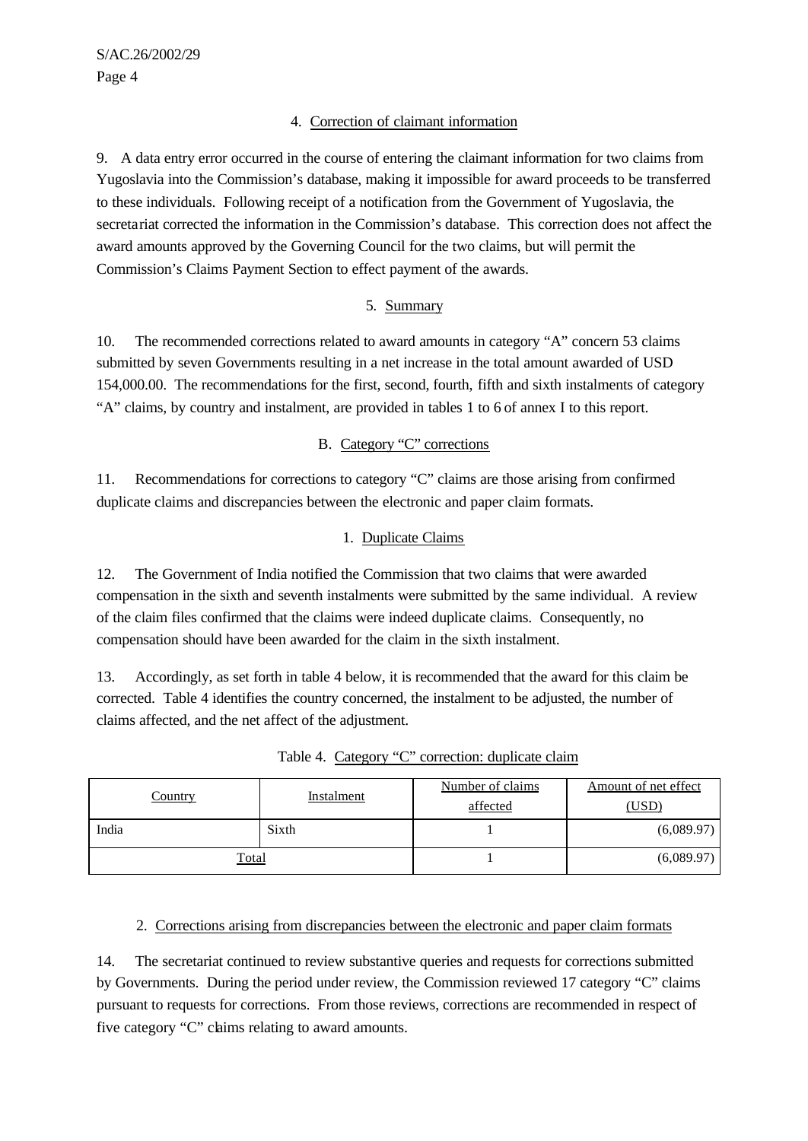# 4. Correction of claimant information

9. A data entry error occurred in the course of entering the claimant information for two claims from Yugoslavia into the Commission's database, making it impossible for award proceeds to be transferred to these individuals. Following receipt of a notification from the Government of Yugoslavia, the secretariat corrected the information in the Commission's database. This correction does not affect the award amounts approved by the Governing Council for the two claims, but will permit the Commission's Claims Payment Section to effect payment of the awards.

# 5. Summary

10. The recommended corrections related to award amounts in category "A" concern 53 claims submitted by seven Governments resulting in a net increase in the total amount awarded of USD 154,000.00. The recommendations for the first, second, fourth, fifth and sixth instalments of category "A" claims, by country and instalment, are provided in tables 1 to 6 of annex I to this report.

# B. Category "C" corrections

11. Recommendations for corrections to category "C" claims are those arising from confirmed duplicate claims and discrepancies between the electronic and paper claim formats.

# 1. Duplicate Claims

12. The Government of India notified the Commission that two claims that were awarded compensation in the sixth and seventh instalments were submitted by the same individual. A review of the claim files confirmed that the claims were indeed duplicate claims. Consequently, no compensation should have been awarded for the claim in the sixth instalment.

13. Accordingly, as set forth in table 4 below, it is recommended that the award for this claim be corrected. Table 4 identifies the country concerned, the instalment to be adjusted, the number of claims affected, and the net affect of the adjustment.

| <u>Country</u> | <b>Instalment</b> | Number of claims | Amount of net effect |
|----------------|-------------------|------------------|----------------------|
|                |                   | affected         | <u>,USD</u>          |
| India          | Sixth             |                  | (6,089.97)           |
| Total          |                   |                  | (6,089.97)           |

Table 4. Category "C" correction: duplicate claim

# 2. Corrections arising from discrepancies between the electronic and paper claim formats

14. The secretariat continued to review substantive queries and requests for corrections submitted by Governments. During the period under review, the Commission reviewed 17 category "C" claims pursuant to requests for corrections. From those reviews, corrections are recommended in respect of five category "C" claims relating to award amounts.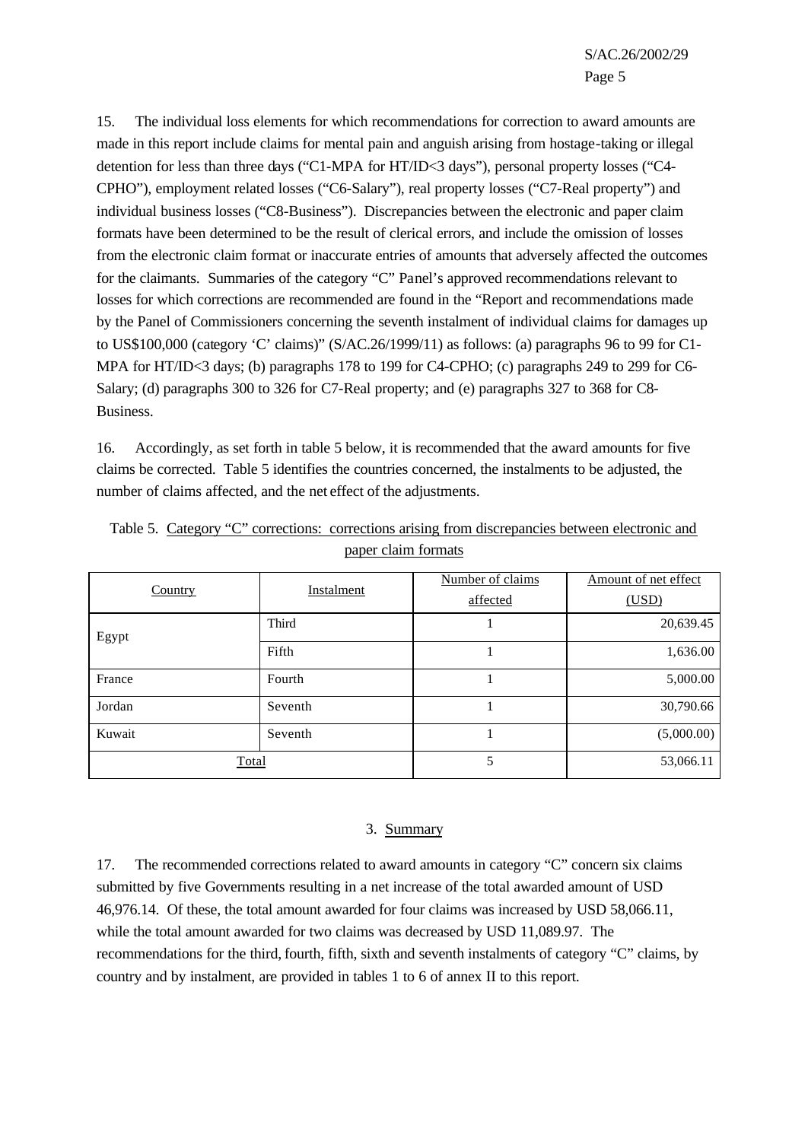15. The individual loss elements for which recommendations for correction to award amounts are made in this report include claims for mental pain and anguish arising from hostage-taking or illegal detention for less than three days ("C1-MPA for HT/ID<3 days"), personal property losses ("C4- CPHO"), employment related losses ("C6-Salary"), real property losses ("C7-Real property") and individual business losses ("C8-Business"). Discrepancies between the electronic and paper claim formats have been determined to be the result of clerical errors, and include the omission of losses from the electronic claim format or inaccurate entries of amounts that adversely affected the outcomes for the claimants. Summaries of the category "C" Panel's approved recommendations relevant to losses for which corrections are recommended are found in the "Report and recommendations made by the Panel of Commissioners concerning the seventh instalment of individual claims for damages up to US\$100,000 (category 'C' claims)" (S/AC.26/1999/11) as follows: (a) paragraphs 96 to 99 for C1- MPA for HT/ID<3 days; (b) paragraphs 178 to 199 for C4-CPHO; (c) paragraphs 249 to 299 for C6-Salary; (d) paragraphs 300 to 326 for C7-Real property; and (e) paragraphs 327 to 368 for C8- Business.

16. Accordingly, as set forth in table 5 below, it is recommended that the award amounts for five claims be corrected. Table 5 identifies the countries concerned, the instalments to be adjusted, the number of claims affected, and the net effect of the adjustments.

| Country | Instalment | Number of claims<br>affected | Amount of net effect<br>(USD) |
|---------|------------|------------------------------|-------------------------------|
| Egypt   | Third      |                              | 20,639.45                     |
|         | Fifth      |                              | 1,636.00                      |
| France  | Fourth     |                              | 5,000.00                      |
| Jordan  | Seventh    |                              | 30,790.66                     |
| Kuwait  | Seventh    |                              | (5,000.00)                    |
| Total   |            | 5                            | 53,066.11                     |

Table 5. Category "C" corrections: corrections arising from discrepancies between electronic and paper claim formats

#### 3. Summary

17. The recommended corrections related to award amounts in category "C" concern six claims submitted by five Governments resulting in a net increase of the total awarded amount of USD 46,976.14. Of these, the total amount awarded for four claims was increased by USD 58,066.11, while the total amount awarded for two claims was decreased by USD 11,089.97. The recommendations for the third, fourth, fifth, sixth and seventh instalments of category "C" claims, by country and by instalment, are provided in tables 1 to 6 of annex II to this report.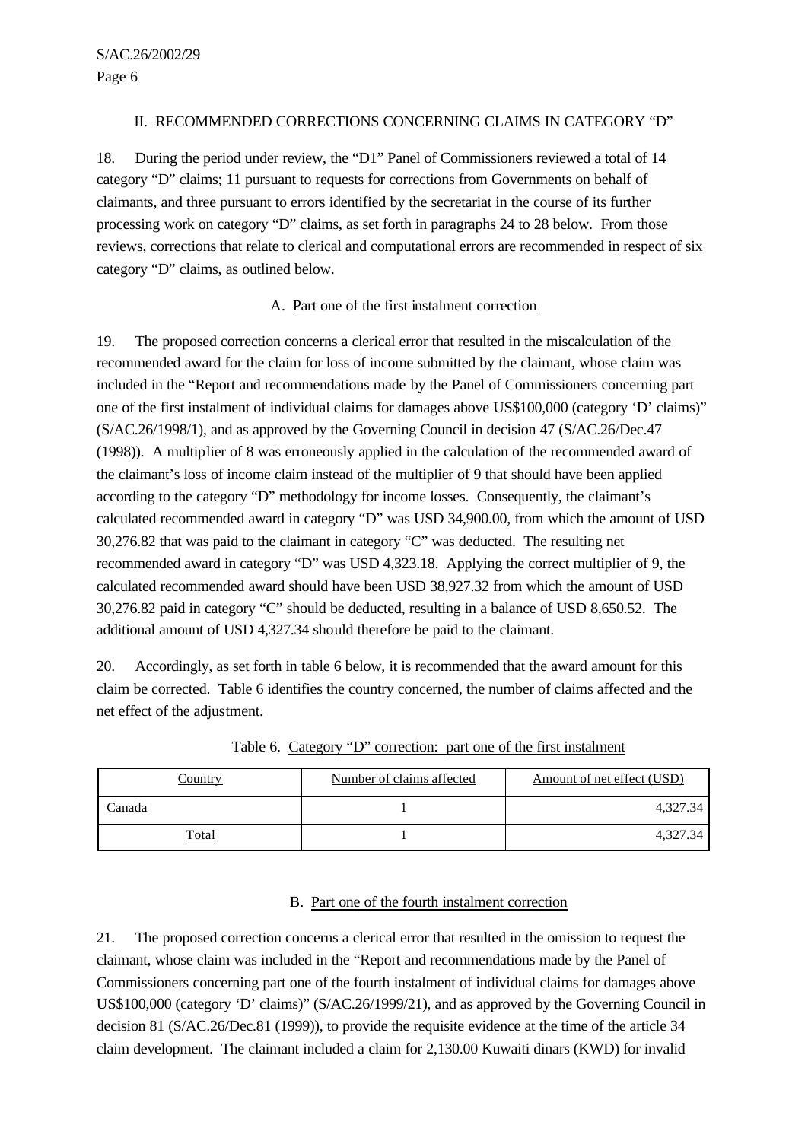## II. RECOMMENDED CORRECTIONS CONCERNING CLAIMS IN CATEGORY "D"

18. During the period under review, the "D1" Panel of Commissioners reviewed a total of 14 category "D" claims; 11 pursuant to requests for corrections from Governments on behalf of claimants, and three pursuant to errors identified by the secretariat in the course of its further processing work on category "D" claims, as set forth in paragraphs 24 to 28 below. From those reviews, corrections that relate to clerical and computational errors are recommended in respect of six category "D" claims, as outlined below.

### A. Part one of the first instalment correction

19. The proposed correction concerns a clerical error that resulted in the miscalculation of the recommended award for the claim for loss of income submitted by the claimant, whose claim was included in the "Report and recommendations made by the Panel of Commissioners concerning part one of the first instalment of individual claims for damages above US\$100,000 (category 'D' claims)" (S/AC.26/1998/1), and as approved by the Governing Council in decision 47 (S/AC.26/Dec.47 (1998)). A multiplier of 8 was erroneously applied in the calculation of the recommended award of the claimant's loss of income claim instead of the multiplier of 9 that should have been applied according to the category "D" methodology for income losses. Consequently, the claimant's calculated recommended award in category "D" was USD 34,900.00, from which the amount of USD 30,276.82 that was paid to the claimant in category "C" was deducted. The resulting net recommended award in category "D" was USD 4,323.18. Applying the correct multiplier of 9, the calculated recommended award should have been USD 38,927.32 from which the amount of USD 30,276.82 paid in category "C" should be deducted, resulting in a balance of USD 8,650.52. The additional amount of USD 4,327.34 should therefore be paid to the claimant.

20. Accordingly, as set forth in table 6 below, it is recommended that the award amount for this claim be corrected. Table 6 identifies the country concerned, the number of claims affected and the net effect of the adjustment.

| <u>Country</u> | Number of claims affected | Amount of net effect (USD) |
|----------------|---------------------------|----------------------------|
| Canada         |                           | 4.327.34                   |
| Гоtal          |                           | 4.327.34                   |

Table 6. Category "D" correction: part one of the first instalment

### B. Part one of the fourth instalment correction

21. The proposed correction concerns a clerical error that resulted in the omission to request the claimant, whose claim was included in the "Report and recommendations made by the Panel of Commissioners concerning part one of the fourth instalment of individual claims for damages above US\$100,000 (category 'D' claims)" (S/AC.26/1999/21), and as approved by the Governing Council in decision 81 (S/AC.26/Dec.81 (1999)), to provide the requisite evidence at the time of the article 34 claim development. The claimant included a claim for 2,130.00 Kuwaiti dinars (KWD) for invalid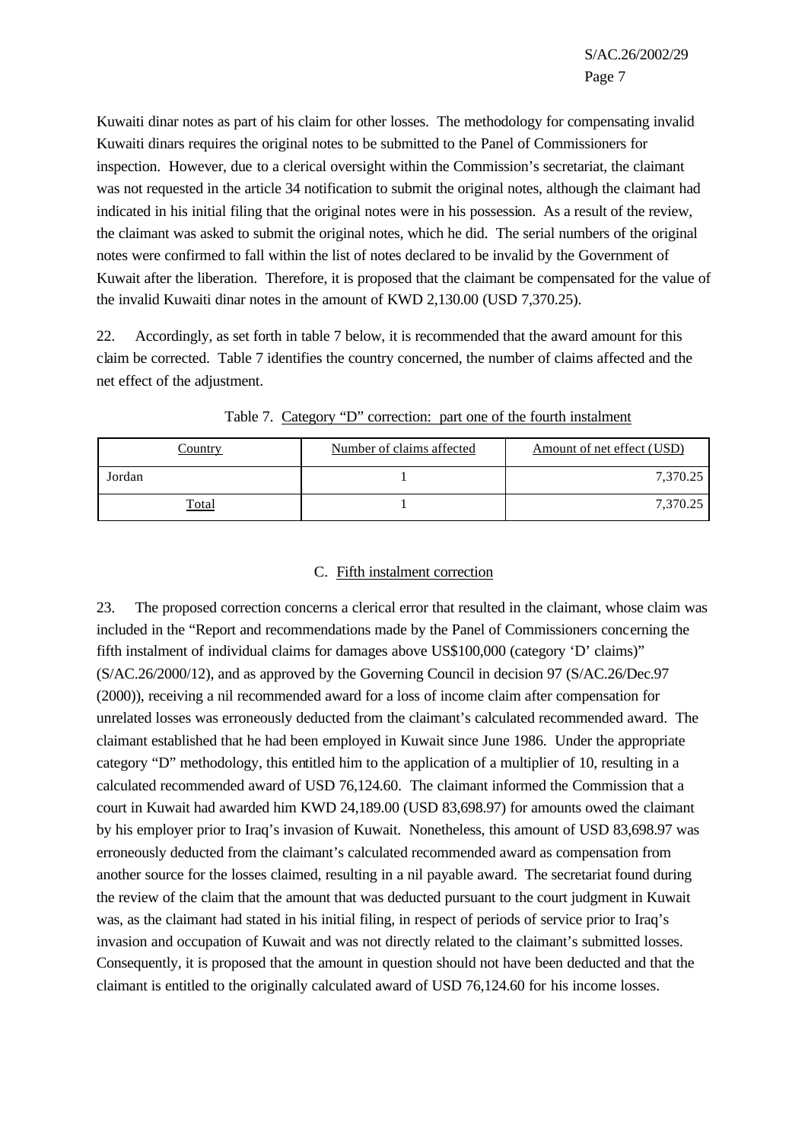Kuwaiti dinar notes as part of his claim for other losses. The methodology for compensating invalid Kuwaiti dinars requires the original notes to be submitted to the Panel of Commissioners for inspection. However, due to a clerical oversight within the Commission's secretariat, the claimant was not requested in the article 34 notification to submit the original notes, although the claimant had indicated in his initial filing that the original notes were in his possession. As a result of the review, the claimant was asked to submit the original notes, which he did. The serial numbers of the original notes were confirmed to fall within the list of notes declared to be invalid by the Government of Kuwait after the liberation. Therefore, it is proposed that the claimant be compensated for the value of the invalid Kuwaiti dinar notes in the amount of KWD 2,130.00 (USD 7,370.25).

22. Accordingly, as set forth in table 7 below, it is recommended that the award amount for this claim be corrected. Table 7 identifies the country concerned, the number of claims affected and the net effect of the adjustment.

| <u>Country</u> | Number of claims affected | Amount of net effect (USD) |
|----------------|---------------------------|----------------------------|
| Jordan         |                           | 7,370.25                   |
| <u>Total</u>   |                           | 7,370.25                   |

Table 7. Category "D" correction: part one of the fourth instalment

#### C. Fifth instalment correction

23. The proposed correction concerns a clerical error that resulted in the claimant, whose claim was included in the "Report and recommendations made by the Panel of Commissioners concerning the fifth instalment of individual claims for damages above US\$100,000 (category 'D' claims)" (S/AC.26/2000/12), and as approved by the Governing Council in decision 97 (S/AC.26/Dec.97 (2000)), receiving a nil recommended award for a loss of income claim after compensation for unrelated losses was erroneously deducted from the claimant's calculated recommended award. The claimant established that he had been employed in Kuwait since June 1986. Under the appropriate category "D" methodology, this entitled him to the application of a multiplier of 10, resulting in a calculated recommended award of USD 76,124.60. The claimant informed the Commission that a court in Kuwait had awarded him KWD 24,189.00 (USD 83,698.97) for amounts owed the claimant by his employer prior to Iraq's invasion of Kuwait. Nonetheless, this amount of USD 83,698.97 was erroneously deducted from the claimant's calculated recommended award as compensation from another source for the losses claimed, resulting in a nil payable award. The secretariat found during the review of the claim that the amount that was deducted pursuant to the court judgment in Kuwait was, as the claimant had stated in his initial filing, in respect of periods of service prior to Iraq's invasion and occupation of Kuwait and was not directly related to the claimant's submitted losses. Consequently, it is proposed that the amount in question should not have been deducted and that the claimant is entitled to the originally calculated award of USD 76,124.60 for his income losses.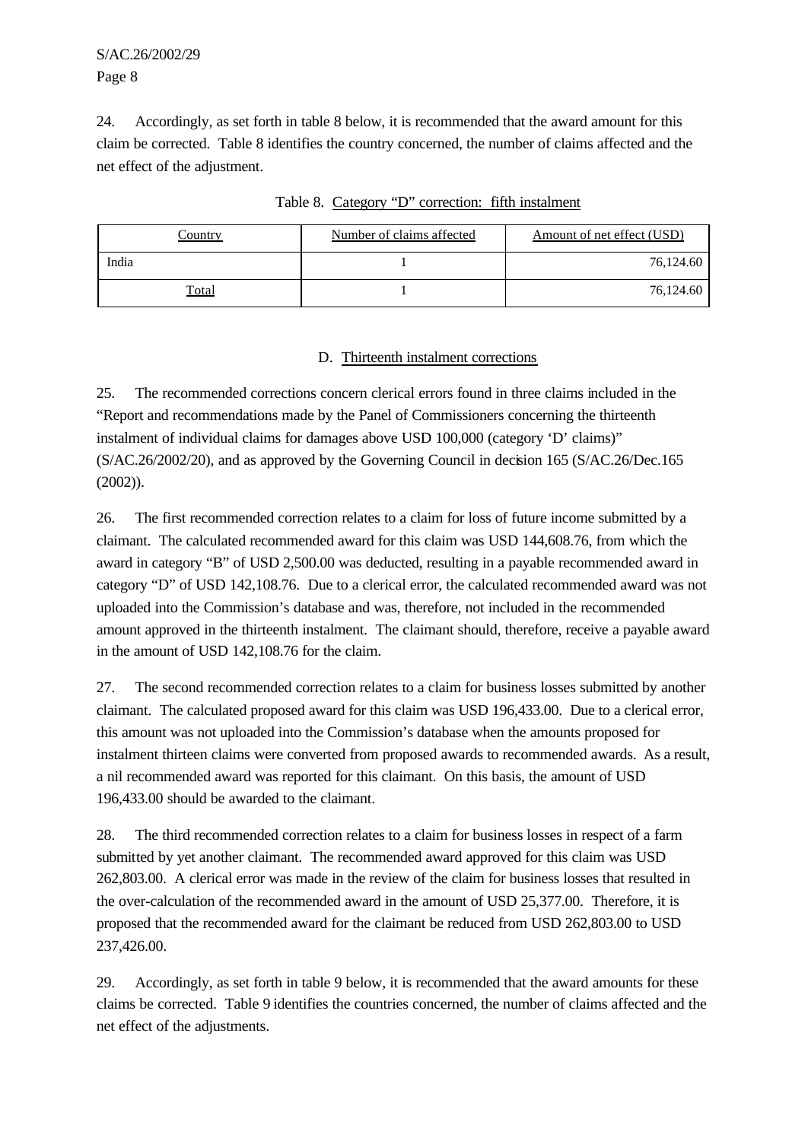S/AC.26/2002/29 Page 8

24. Accordingly, as set forth in table 8 below, it is recommended that the award amount for this claim be corrected. Table 8 identifies the country concerned, the number of claims affected and the net effect of the adjustment.

| Country      | Number of claims affected | Amount of net effect (USD) |
|--------------|---------------------------|----------------------------|
| India        |                           | 76,124.60                  |
| <u>Total</u> |                           | 76,124.60                  |

Table 8. Category "D" correction: fifth instalment

# D. Thirteenth instalment corrections

25. The recommended corrections concern clerical errors found in three claims included in the "Report and recommendations made by the Panel of Commissioners concerning the thirteenth instalment of individual claims for damages above USD 100,000 (category 'D' claims)" (S/AC.26/2002/20), and as approved by the Governing Council in decision 165 (S/AC.26/Dec.165 (2002)).

26. The first recommended correction relates to a claim for loss of future income submitted by a claimant. The calculated recommended award for this claim was USD 144,608.76, from which the award in category "B" of USD 2,500.00 was deducted, resulting in a payable recommended award in category "D" of USD 142,108.76. Due to a clerical error, the calculated recommended award was not uploaded into the Commission's database and was, therefore, not included in the recommended amount approved in the thirteenth instalment. The claimant should, therefore, receive a payable award in the amount of USD 142,108.76 for the claim.

27. The second recommended correction relates to a claim for business losses submitted by another claimant. The calculated proposed award for this claim was USD 196,433.00. Due to a clerical error, this amount was not uploaded into the Commission's database when the amounts proposed for instalment thirteen claims were converted from proposed awards to recommended awards. As a result, a nil recommended award was reported for this claimant. On this basis, the amount of USD 196,433.00 should be awarded to the claimant.

28. The third recommended correction relates to a claim for business losses in respect of a farm submitted by yet another claimant. The recommended award approved for this claim was USD 262,803.00. A clerical error was made in the review of the claim for business losses that resulted in the over-calculation of the recommended award in the amount of USD 25,377.00. Therefore, it is proposed that the recommended award for the claimant be reduced from USD 262,803.00 to USD 237,426.00.

29. Accordingly, as set forth in table 9 below, it is recommended that the award amounts for these claims be corrected. Table 9 identifies the countries concerned, the number of claims affected and the net effect of the adjustments.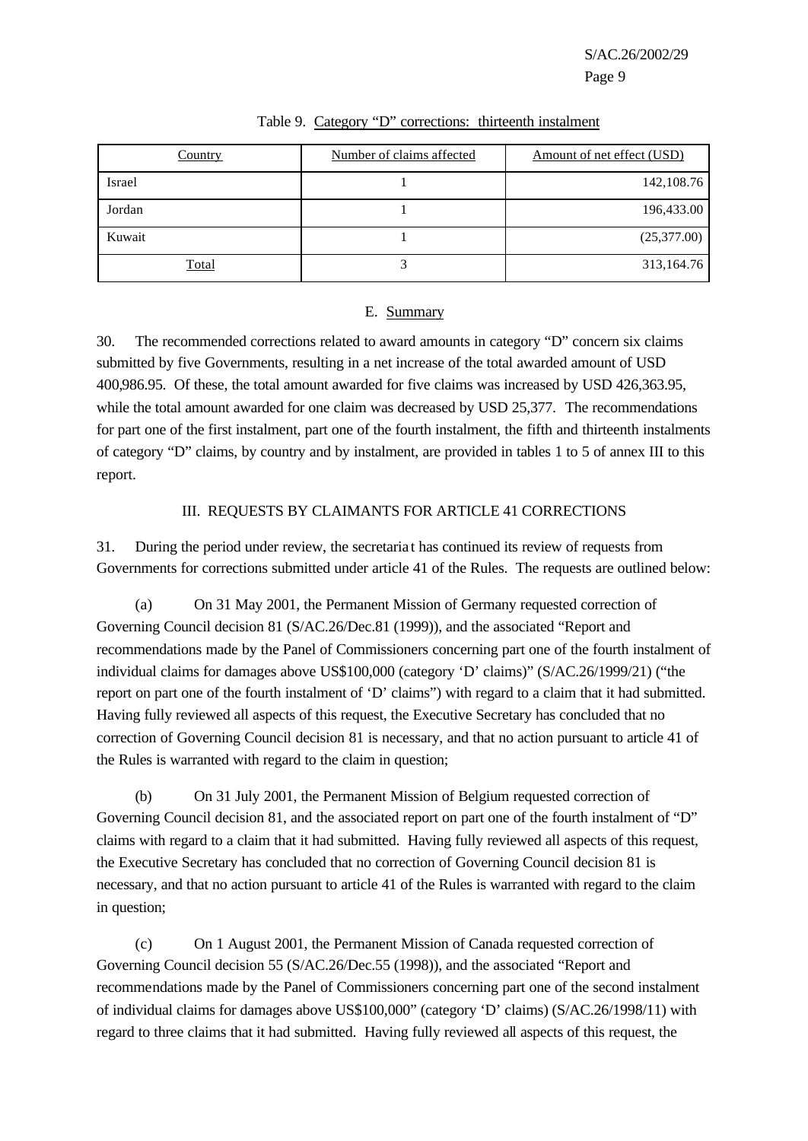S/AC.26/2002/29

Page 9

| Country      | Number of claims affected | Amount of net effect (USD) |
|--------------|---------------------------|----------------------------|
| Israel       |                           | 142,108.76                 |
| Jordan       |                           | 196,433.00                 |
| Kuwait       |                           | (25,377.00)                |
| <b>Total</b> |                           | 313,164.76                 |

#### Table 9. Category "D" corrections: thirteenth instalment

### E. Summary

30. The recommended corrections related to award amounts in category "D" concern six claims submitted by five Governments, resulting in a net increase of the total awarded amount of USD 400,986.95. Of these, the total amount awarded for five claims was increased by USD 426,363.95, while the total amount awarded for one claim was decreased by USD 25,377.The recommendations for part one of the first instalment, part one of the fourth instalment, the fifth and thirteenth instalments of category "D" claims, by country and by instalment, are provided in tables 1 to 5 of annex III to this report.

## III. REQUESTS BY CLAIMANTS FOR ARTICLE 41 CORRECTIONS

31. During the period under review, the secretaria t has continued its review of requests from Governments for corrections submitted under article 41 of the Rules. The requests are outlined below:

(a) On 31 May 2001, the Permanent Mission of Germany requested correction of Governing Council decision 81 (S/AC.26/Dec.81 (1999)), and the associated "Report and recommendations made by the Panel of Commissioners concerning part one of the fourth instalment of individual claims for damages above US\$100,000 (category 'D' claims)" (S/AC.26/1999/21) ("the report on part one of the fourth instalment of 'D' claims") with regard to a claim that it had submitted. Having fully reviewed all aspects of this request, the Executive Secretary has concluded that no correction of Governing Council decision 81 is necessary, and that no action pursuant to article 41 of the Rules is warranted with regard to the claim in question;

(b) On 31 July 2001, the Permanent Mission of Belgium requested correction of Governing Council decision 81, and the associated report on part one of the fourth instalment of "D" claims with regard to a claim that it had submitted. Having fully reviewed all aspects of this request, the Executive Secretary has concluded that no correction of Governing Council decision 81 is necessary, and that no action pursuant to article 41 of the Rules is warranted with regard to the claim in question;

(c) On 1 August 2001, the Permanent Mission of Canada requested correction of Governing Council decision 55 (S/AC.26/Dec.55 (1998)), and the associated "Report and recommendations made by the Panel of Commissioners concerning part one of the second instalment of individual claims for damages above US\$100,000" (category 'D' claims) (S/AC.26/1998/11) with regard to three claims that it had submitted. Having fully reviewed all aspects of this request, the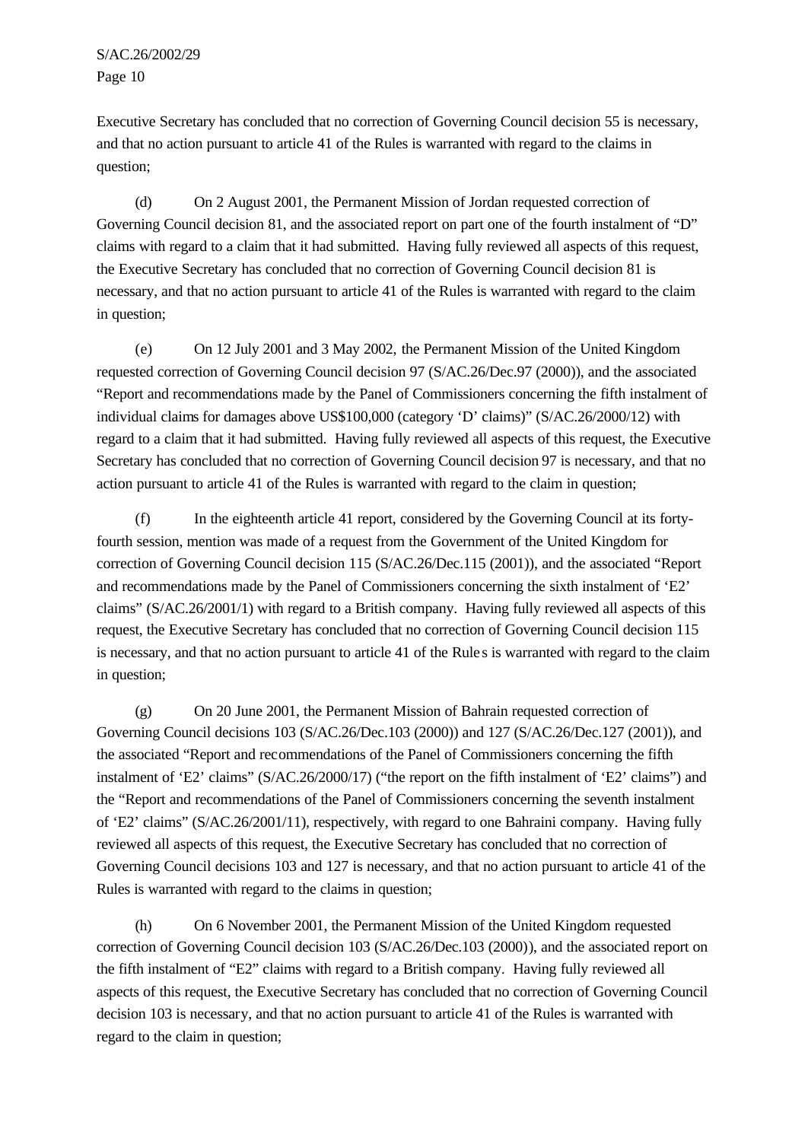S/AC.26/2002/29 Page 10

Executive Secretary has concluded that no correction of Governing Council decision 55 is necessary, and that no action pursuant to article 41 of the Rules is warranted with regard to the claims in question;

(d) On 2 August 2001, the Permanent Mission of Jordan requested correction of Governing Council decision 81, and the associated report on part one of the fourth instalment of "D" claims with regard to a claim that it had submitted. Having fully reviewed all aspects of this request, the Executive Secretary has concluded that no correction of Governing Council decision 81 is necessary, and that no action pursuant to article 41 of the Rules is warranted with regard to the claim in question;

(e) On 12 July 2001 and 3 May 2002, the Permanent Mission of the United Kingdom requested correction of Governing Council decision 97 (S/AC.26/Dec.97 (2000)), and the associated "Report and recommendations made by the Panel of Commissioners concerning the fifth instalment of individual claims for damages above US\$100,000 (category 'D' claims)" (S/AC.26/2000/12) with regard to a claim that it had submitted. Having fully reviewed all aspects of this request, the Executive Secretary has concluded that no correction of Governing Council decision 97 is necessary, and that no action pursuant to article 41 of the Rules is warranted with regard to the claim in question;

(f) In the eighteenth article 41 report, considered by the Governing Council at its fortyfourth session, mention was made of a request from the Government of the United Kingdom for correction of Governing Council decision 115 (S/AC.26/Dec.115 (2001)), and the associated "Report and recommendations made by the Panel of Commissioners concerning the sixth instalment of 'E2' claims" (S/AC.26/2001/1) with regard to a British company. Having fully reviewed all aspects of this request, the Executive Secretary has concluded that no correction of Governing Council decision 115 is necessary, and that no action pursuant to article 41 of the Rule s is warranted with regard to the claim in question;

(g) On 20 June 2001, the Permanent Mission of Bahrain requested correction of Governing Council decisions 103 (S/AC.26/Dec.103 (2000)) and 127 (S/AC.26/Dec.127 (2001)), and the associated "Report and recommendations of the Panel of Commissioners concerning the fifth instalment of 'E2' claims" (S/AC.26/2000/17) ("the report on the fifth instalment of 'E2' claims") and the "Report and recommendations of the Panel of Commissioners concerning the seventh instalment of 'E2' claims" (S/AC.26/2001/11), respectively, with regard to one Bahraini company. Having fully reviewed all aspects of this request, the Executive Secretary has concluded that no correction of Governing Council decisions 103 and 127 is necessary, and that no action pursuant to article 41 of the Rules is warranted with regard to the claims in question;

(h) On 6 November 2001, the Permanent Mission of the United Kingdom requested correction of Governing Council decision 103 (S/AC.26/Dec.103 (2000)), and the associated report on the fifth instalment of "E2" claims with regard to a British company. Having fully reviewed all aspects of this request, the Executive Secretary has concluded that no correction of Governing Council decision 103 is necessary, and that no action pursuant to article 41 of the Rules is warranted with regard to the claim in question;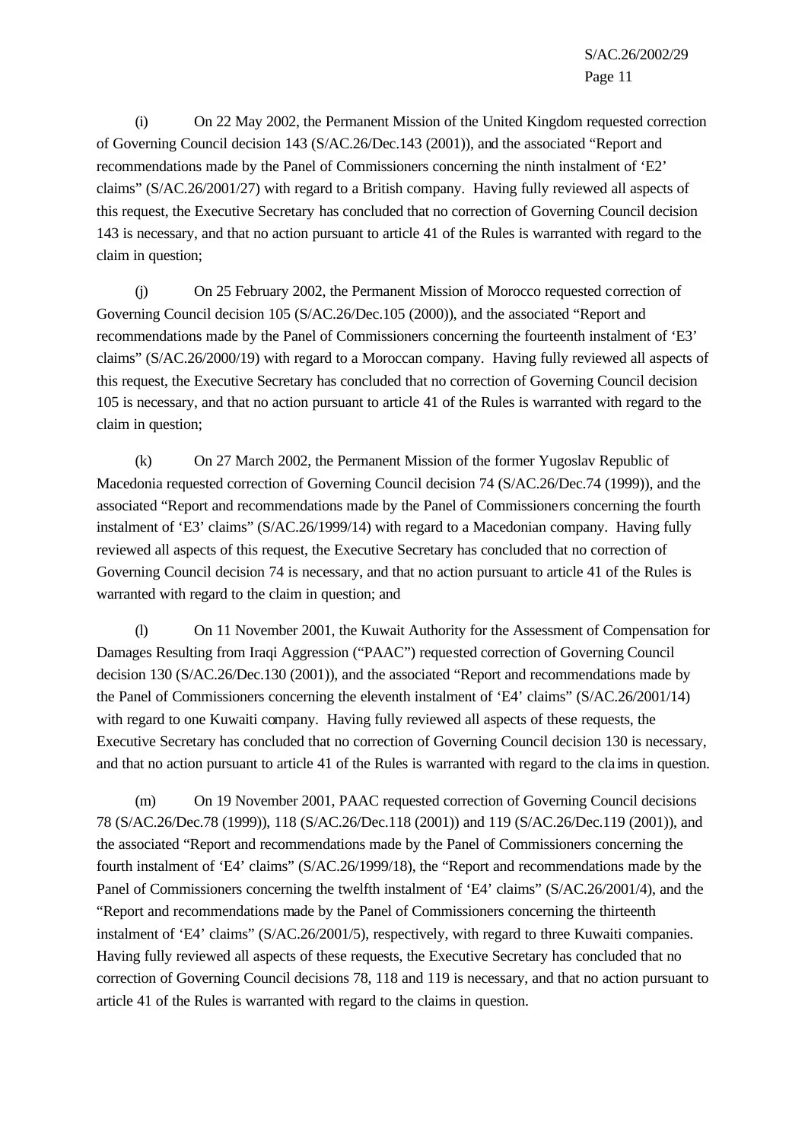(i) On 22 May 2002, the Permanent Mission of the United Kingdom requested correction of Governing Council decision 143 (S/AC.26/Dec.143 (2001)), and the associated "Report and recommendations made by the Panel of Commissioners concerning the ninth instalment of 'E2' claims" (S/AC.26/2001/27) with regard to a British company. Having fully reviewed all aspects of this request, the Executive Secretary has concluded that no correction of Governing Council decision 143 is necessary, and that no action pursuant to article 41 of the Rules is warranted with regard to the claim in question;

(j) On 25 February 2002, the Permanent Mission of Morocco requested correction of Governing Council decision 105 (S/AC.26/Dec.105 (2000)), and the associated "Report and recommendations made by the Panel of Commissioners concerning the fourteenth instalment of 'E3' claims" (S/AC.26/2000/19) with regard to a Moroccan company. Having fully reviewed all aspects of this request, the Executive Secretary has concluded that no correction of Governing Council decision 105 is necessary, and that no action pursuant to article 41 of the Rules is warranted with regard to the claim in question;

(k) On 27 March 2002, the Permanent Mission of the former Yugoslav Republic of Macedonia requested correction of Governing Council decision 74 (S/AC.26/Dec.74 (1999)), and the associated "Report and recommendations made by the Panel of Commissioners concerning the fourth instalment of 'E3' claims" (S/AC.26/1999/14) with regard to a Macedonian company. Having fully reviewed all aspects of this request, the Executive Secretary has concluded that no correction of Governing Council decision 74 is necessary, and that no action pursuant to article 41 of the Rules is warranted with regard to the claim in question; and

(l) On 11 November 2001, the Kuwait Authority for the Assessment of Compensation for Damages Resulting from Iraqi Aggression ("PAAC") requested correction of Governing Council decision 130 (S/AC.26/Dec.130 (2001)), and the associated "Report and recommendations made by the Panel of Commissioners concerning the eleventh instalment of 'E4' claims" (S/AC.26/2001/14) with regard to one Kuwaiti company. Having fully reviewed all aspects of these requests, the Executive Secretary has concluded that no correction of Governing Council decision 130 is necessary, and that no action pursuant to article 41 of the Rules is warranted with regard to the cla ims in question.

(m) On 19 November 2001, PAAC requested correction of Governing Council decisions 78 (S/AC.26/Dec.78 (1999)), 118 (S/AC.26/Dec.118 (2001)) and 119 (S/AC.26/Dec.119 (2001)), and the associated "Report and recommendations made by the Panel of Commissioners concerning the fourth instalment of 'E4' claims" (S/AC.26/1999/18), the "Report and recommendations made by the Panel of Commissioners concerning the twelfth instalment of 'E4' claims" (S/AC.26/2001/4), and the "Report and recommendations made by the Panel of Commissioners concerning the thirteenth instalment of 'E4' claims" (S/AC.26/2001/5), respectively, with regard to three Kuwaiti companies. Having fully reviewed all aspects of these requests, the Executive Secretary has concluded that no correction of Governing Council decisions 78, 118 and 119 is necessary, and that no action pursuant to article 41 of the Rules is warranted with regard to the claims in question.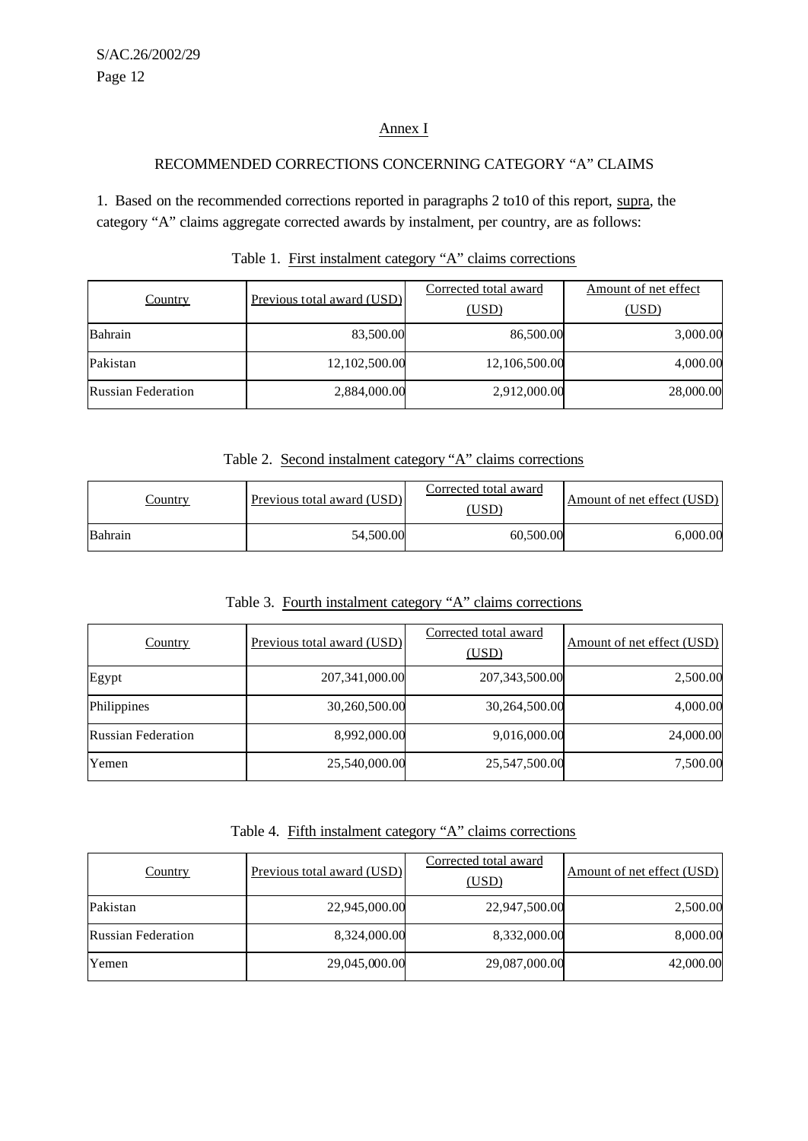## Annex I

## RECOMMENDED CORRECTIONS CONCERNING CATEGORY "A" CLAIMS

1. Based on the recommended corrections reported in paragraphs 2 to10 of this report, supra, the category "A" claims aggregate corrected awards by instalment, per country, are as follows:

| Country                   | Previous total award (USD) | Corrected total award<br>(USD) | Amount of net effect<br>(USD) |
|---------------------------|----------------------------|--------------------------------|-------------------------------|
| Bahrain                   | 83,500.00                  | 86,500.00                      | 3,000.00                      |
| Pakistan                  | 12,102,500.00              | 12,106,500.00                  | 4,000.00                      |
| <b>Russian Federation</b> | 2,884,000.00               | 2,912,000.00                   | 28,000.00                     |

# Table 1. First instalment category "A" claims corrections

Table 2. Second instalment category "A" claims corrections

| <u>Country</u> | Previous total award (USD) | Corrected total award<br>USD) | Amount of net effect (USD) |
|----------------|----------------------------|-------------------------------|----------------------------|
| Bahrain        | 54,500.00                  | 60,500.00                     | $6,\!000.00$               |

# Table 3. Fourth instalment category "A" claims corrections

| <b>Country</b>            | Previous total award (USD) | Corrected total award<br>(USD) | Amount of net effect (USD) |
|---------------------------|----------------------------|--------------------------------|----------------------------|
| Egypt                     | 207,341,000.00             | 207, 343, 500.00               | 2,500.00                   |
| Philippines               | 30,260,500.00              | 30,264,500.00                  | 4,000.00                   |
| <b>Russian Federation</b> | 8,992,000.00               | 9,016,000.00                   | 24,000.00                  |
| Yemen                     | 25,540,000.00              | 25,547,500.00                  | 7,500.00                   |

Table 4. Fifth instalment category "A" claims corrections

| <b>Country</b>            | Previous total award (USD) | Corrected total award<br>(USD) | Amount of net effect (USD) |
|---------------------------|----------------------------|--------------------------------|----------------------------|
| Pakistan                  | 22,945,000.00              | 22,947,500.00                  | 2,500.00                   |
| <b>Russian Federation</b> | 8,324,000.00               | 8,332,000.00                   | 8,000.00                   |
| Yemen                     | 29,045,000.00              | 29,087,000.00                  | 42,000.00                  |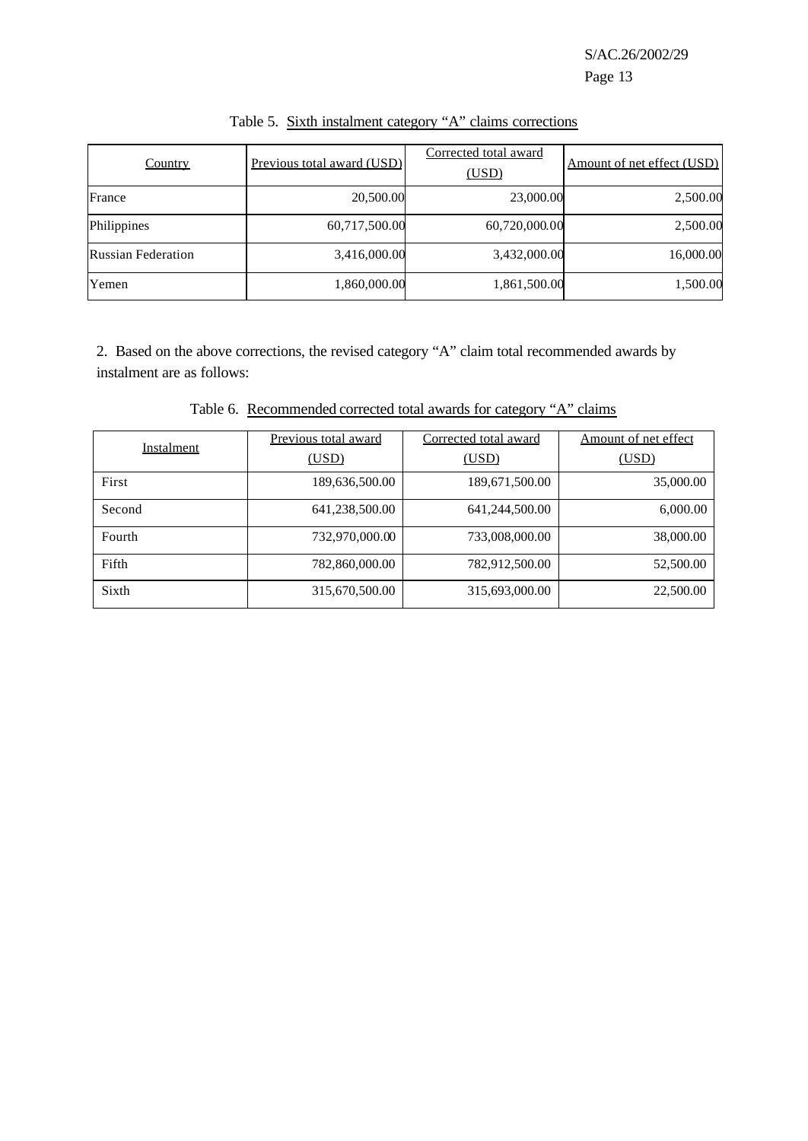| <b>Country</b>            | Previous total award (USD) | Corrected total award<br>(USD) | Amount of net effect (USD) |
|---------------------------|----------------------------|--------------------------------|----------------------------|
| France                    | 20,500.00                  | 23,000.00                      | 2,500.00                   |
| Philippines               | 60,717,500.00              | 60,720,000.00                  | 2,500.00                   |
| <b>Russian Federation</b> | 3,416,000.00               | 3,432,000.00                   | 16,000.00                  |
| Yemen                     | 1,860,000.00               | 1,861,500.00                   | 1,500.00                   |

Table 5. Sixth instalment category "A" claims corrections

2. Based on the above corrections, the revised category "A" claim total recommended awards by instalment are as follows:

Table 6. Recommended corrected total awards for category "A" claims

| Instalment | Previous total award | Corrected total award | Amount of net effect |
|------------|----------------------|-----------------------|----------------------|
|            | (USD)                | (USD)                 | (USD)                |
| First      | 189,636,500.00       | 189,671,500.00        | 35,000.00            |
| Second     | 641,238,500.00       | 641,244,500.00        | 6,000.00             |
| Fourth     | 732,970,000.00       | 733,008,000.00        | 38,000.00            |
| Fifth      | 782,860,000.00       | 782,912,500.00        | 52,500.00            |
| Sixth      | 315,670,500.00       | 315,693,000.00        | 22,500.00            |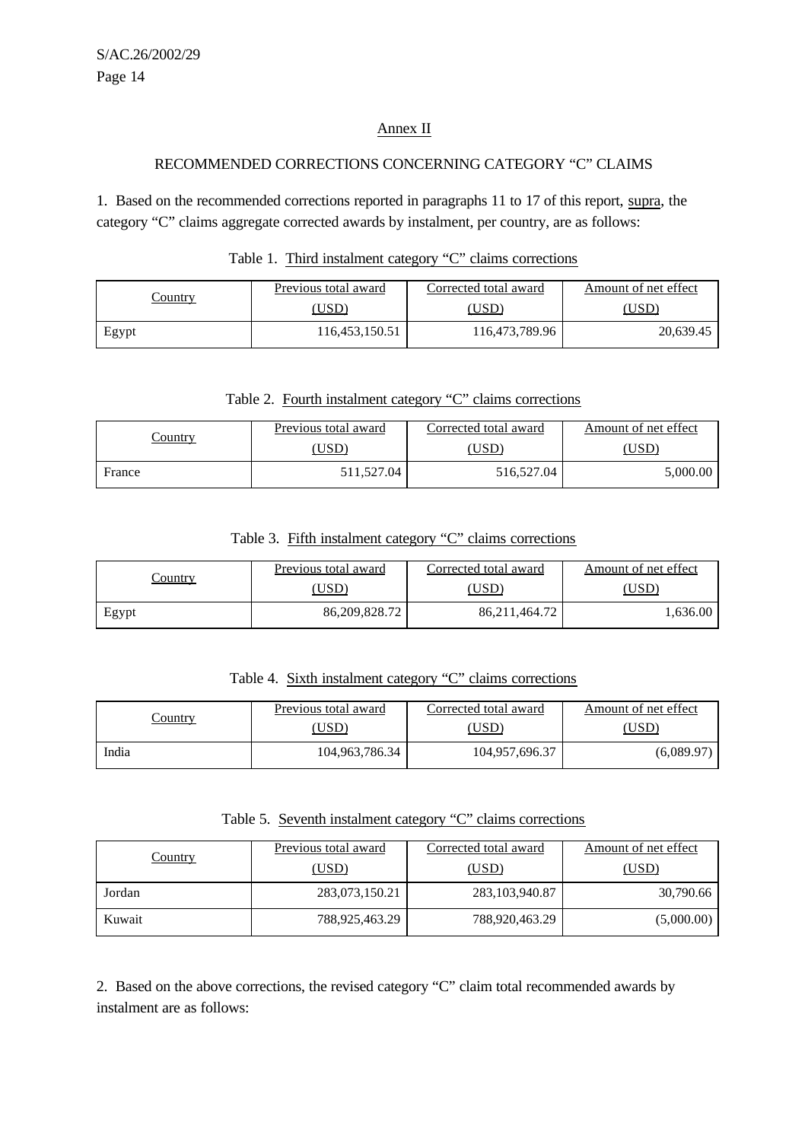### Annex II

#### RECOMMENDED CORRECTIONS CONCERNING CATEGORY "C" CLAIMS

1. Based on the recommended corrections reported in paragraphs 11 to 17 of this report, supra, the category "C" claims aggregate corrected awards by instalment, per country, are as follows:

|                | Previous total award | Corrected total award | Amount of net effect |
|----------------|----------------------|-----------------------|----------------------|
| <u>'ountry</u> | USD)                 | USD <sup>®</sup>      | USD                  |
| Egypt          | 116,453,150.51       | 116,473,789.96        | 20,639.45            |

### Table 1. Third instalment category "C" claims corrections

Table 2. Fourth instalment category "C" claims corrections

|                | Previous total award | Corrected total award | Amount of net effect |
|----------------|----------------------|-----------------------|----------------------|
| <u>Country</u> | USD                  | USD                   | USD                  |
| France         | 511.527.04           | 516,527.04            | 5,000.00             |

Table 3. Fifth instalment category "C" claims corrections

|                | Previous total award | Corrected total award | Amount of net effect |
|----------------|----------------------|-----------------------|----------------------|
| <u>Country</u> | $USD^{\circ}$        | USE                   | USD <sup>'</sup>     |
| Egypt          | 86,209,828.72        | 86, 211, 464. 72      | .636.00              |

Table 4. Sixth instalment category "C" claims corrections

| Country | Previous total award | Corrected total award | Amount of net effect |
|---------|----------------------|-----------------------|----------------------|
|         | 'USD                 | USD                   | USD <sup>-</sup>     |
| India   | 104,963,786.34       | 104,957,696.37        | (6,089.97)           |

Table 5. Seventh instalment category "C" claims corrections

| <b>Country</b> | Previous total award<br>(USD) | Corrected total award<br>(USD) | Amount of net effect<br>(USD) |
|----------------|-------------------------------|--------------------------------|-------------------------------|
| Jordan         | 283,073,150.21                | 283, 103, 940. 87              | 30,790.66                     |
| Kuwait         | 788,925,463.29                | 788,920,463.29                 | (5,000.00)                    |

2. Based on the above corrections, the revised category "C" claim total recommended awards by instalment are as follows: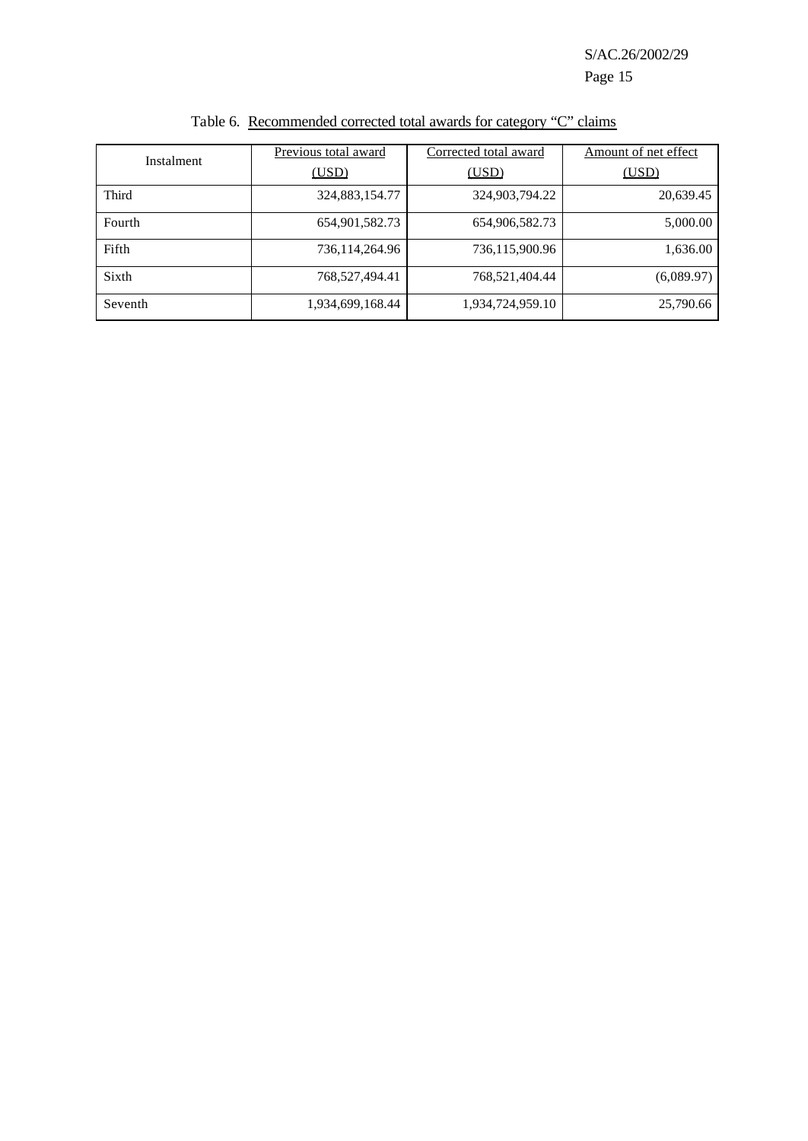S/AC.26/2002/29

Page 15

| Instalment | Previous total award | Corrected total award | Amount of net effect |
|------------|----------------------|-----------------------|----------------------|
|            | (USD)                | (USD)                 | (USD)                |
| Third      | 324,883,154.77       | 324,903,794.22        | 20,639.45            |
| Fourth     | 654,901,582.73       | 654,906,582.73        | 5,000.00             |
| Fifth      | 736,114,264.96       | 736,115,900.96        | 1,636.00             |
| Sixth      | 768,527,494.41       | 768,521,404.44        | (6,089.97)           |
| Seventh    | 1,934,699,168.44     | 1,934,724,959.10      | 25,790.66            |

Table 6. Recommended corrected total awards for category "C" claims